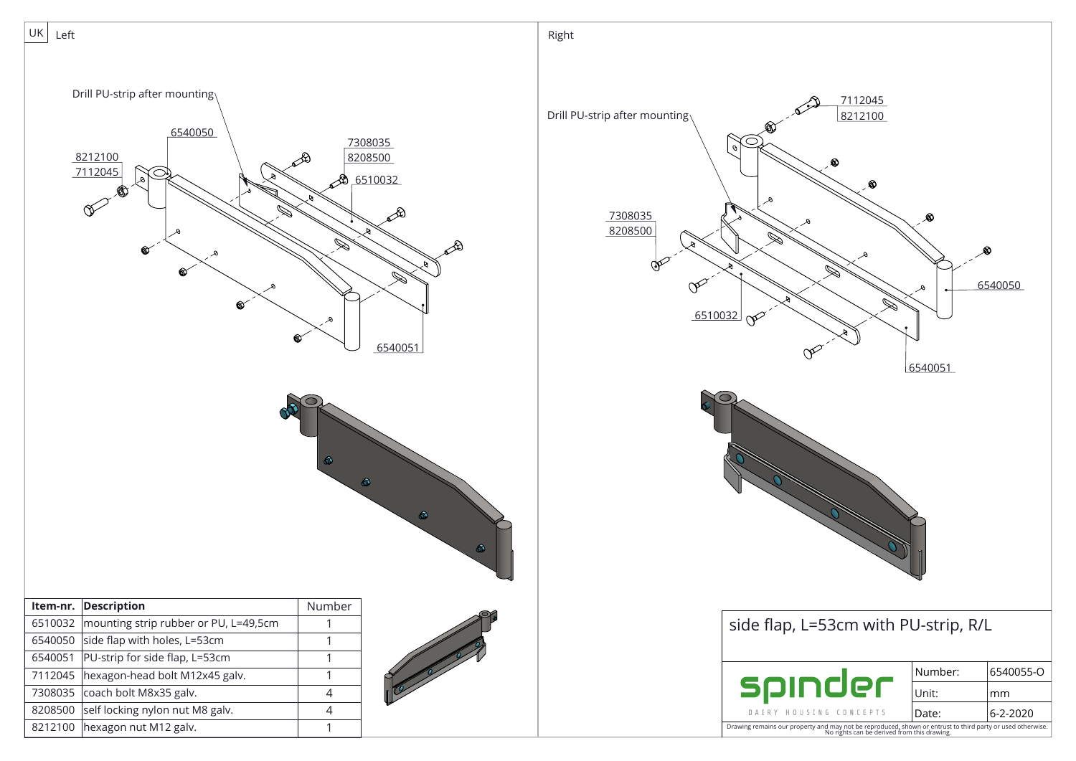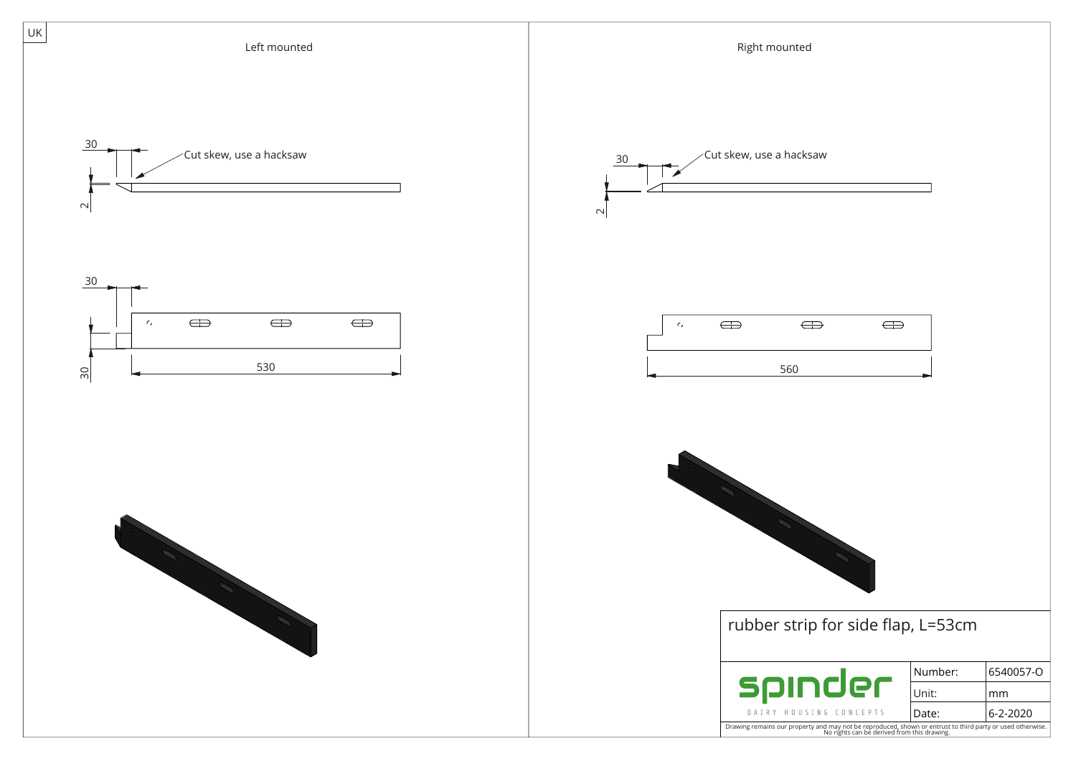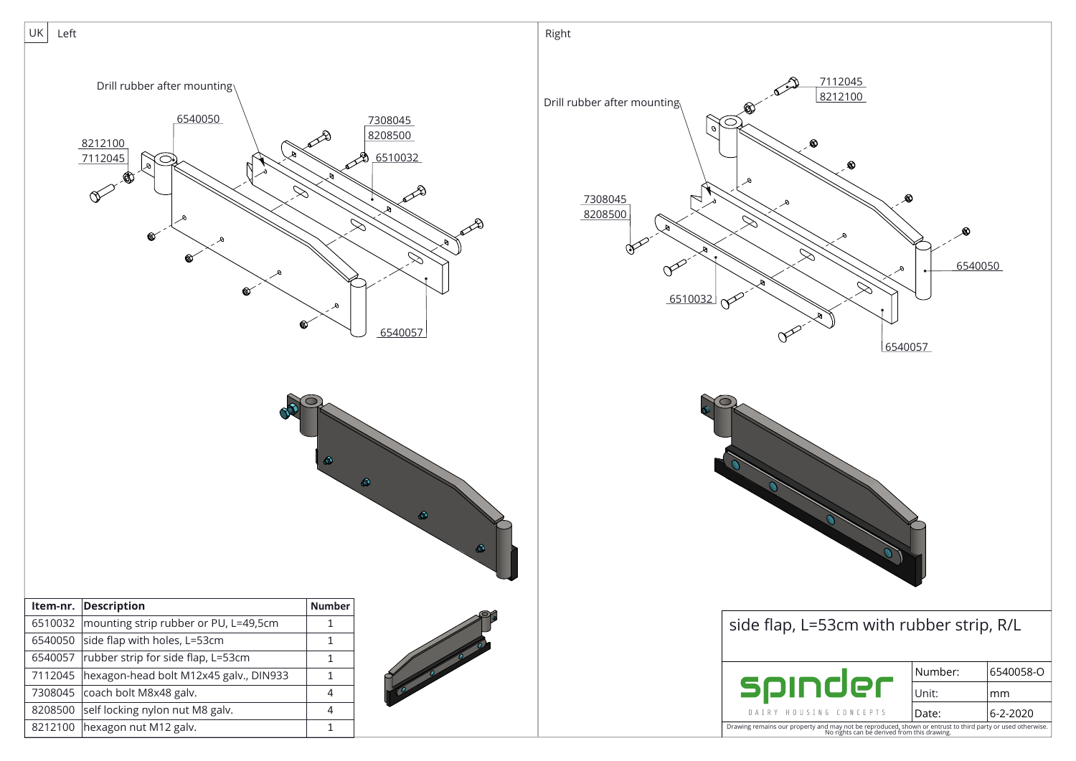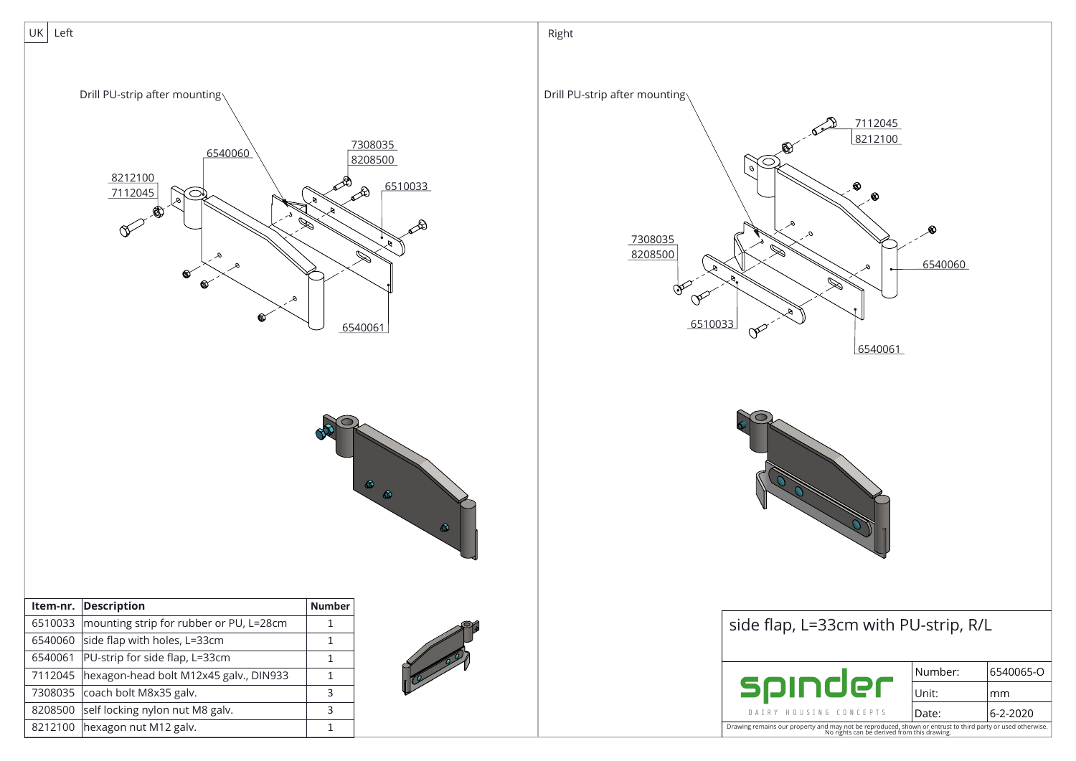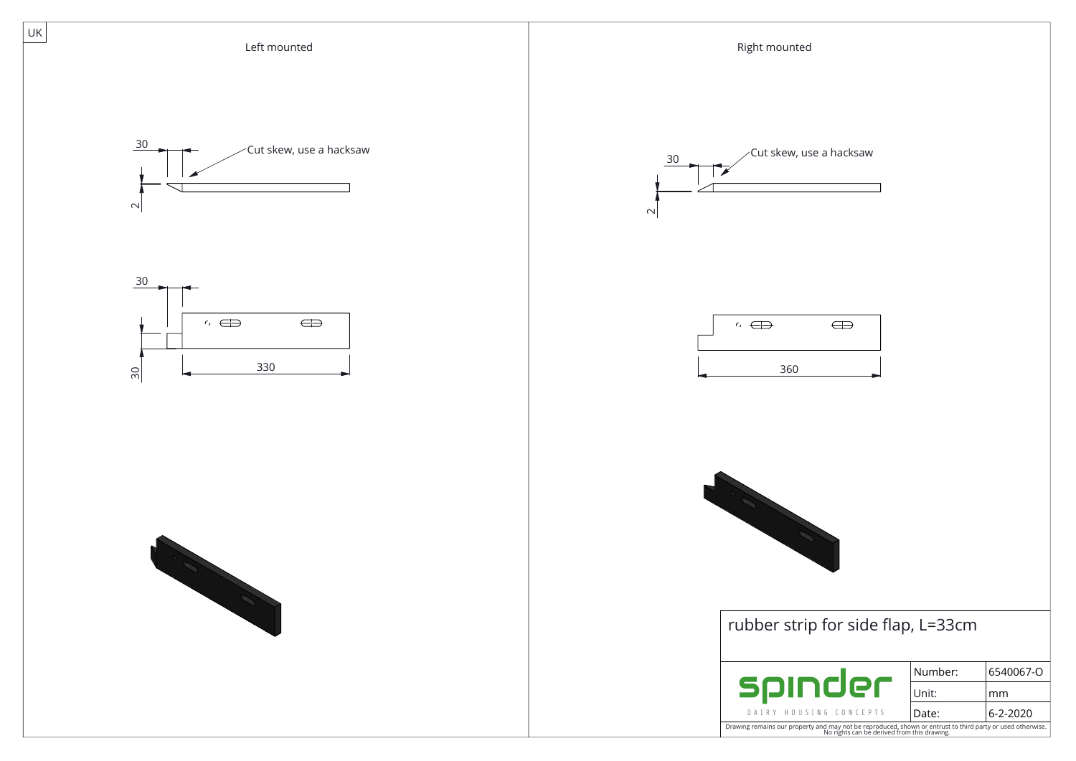